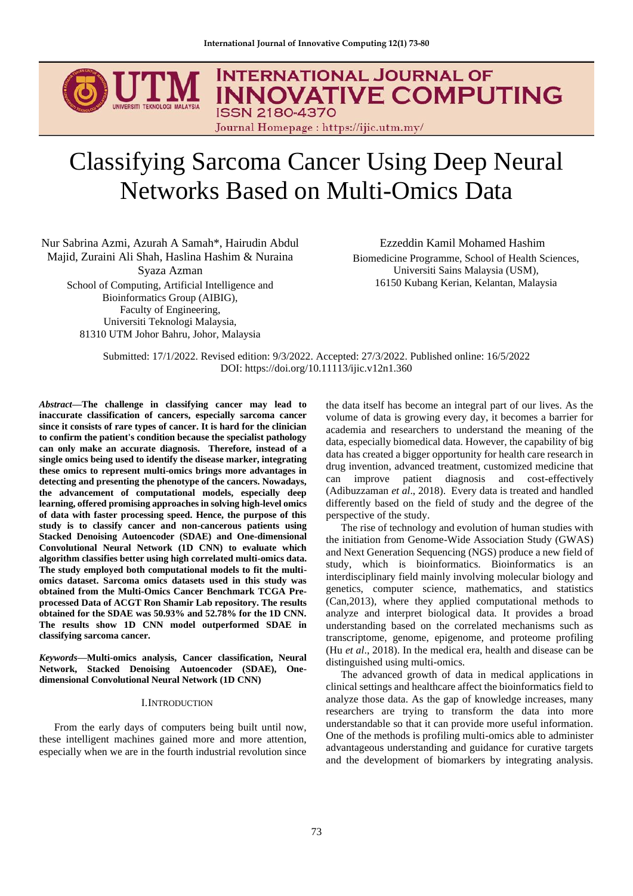# **INTERNATIONAL JOURNAL OF INNOVATIVE COMPUTING ISSN 2180-4370** Journal Homepage : https://ijic.utm.my/

# Classifying Sarcoma Cancer Using Deep Neural Networks Based on Multi-Omics Data

Nur Sabrina Azmi, Azurah A Samah\*, Hairudin Abdul Majid, Zuraini Ali Shah, Haslina Hashim & Nuraina Syaza Azman School of Computing, Artificial Intelligence and Bioinformatics Group (AIBIG), Faculty of Engineering, Universiti Teknologi Malaysia,

81310 UTM Johor Bahru, Johor, Malaysia

Ezzeddin Kamil Mohamed Hashim Biomedicine Programme, School of Health Sciences, Universiti Sains Malaysia (USM), 16150 Kubang Kerian, Kelantan, Malaysia

Submitted: 17/1/2022. Revised edition: 9/3/2022. Accepted: 27/3/2022. Published online: 16/5/2022 DOI: https://doi.org/10.11113/ijic.v12n1.360

*Abstract***—The challenge in classifying cancer may lead to inaccurate classification of cancers, especially sarcoma cancer since it consists of rare types of cancer. It is hard for the clinician to confirm the patient's condition because the specialist pathology can only make an accurate diagnosis. Therefore, instead of a single omics being used to identify the disease marker, integrating these omics to represent multi-omics brings more advantages in detecting and presenting the phenotype of the cancers. Nowadays, the advancement of computational models, especially deep learning, offered promising approaches in solving high-level omics of data with faster processing speed. Hence, the purpose of this study is to classify cancer and non-cancerous patients using Stacked Denoising Autoencoder (SDAE) and One-dimensional Convolutional Neural Network (1D CNN) to evaluate which algorithm classifies better using high correlated multi-omics data. The study employed both computational models to fit the multiomics dataset. Sarcoma omics datasets used in this study was obtained from the Multi-Omics Cancer Benchmark TCGA Preprocessed Data of ACGT Ron Shamir Lab repository. The results obtained for the SDAE was 50.93% and 52.78% for the 1D CNN. The results show 1D CNN model outperformed SDAE in classifying sarcoma cancer.**

*Keywords***—Multi-omics analysis, Cancer classification, Neural Network, Stacked Denoising Autoencoder (SDAE), Onedimensional Convolutional Neural Network (1D CNN)** 

# I.INTRODUCTION

From the early days of computers being built until now, these intelligent machines gained more and more attention, especially when we are in the fourth industrial revolution since the data itself has become an integral part of our lives. As the volume of data is growing every day, it becomes a barrier for academia and researchers to understand the meaning of the data, especially biomedical data. However, the capability of big data has created a bigger opportunity for health care research in drug invention, advanced treatment, customized medicine that can improve patient diagnosis and cost-effectively (Adibuzzaman *et al*., 2018). Every data is treated and handled differently based on the field of study and the degree of the perspective of the study.

The rise of technology and evolution of human studies with the initiation from Genome-Wide Association Study (GWAS) and Next Generation Sequencing (NGS) produce a new field of study, which is bioinformatics. Bioinformatics is an interdisciplinary field mainly involving molecular biology and genetics, computer science, mathematics, and statistics (Can,2013), where they applied computational methods to analyze and interpret biological data. It provides a broad understanding based on the correlated mechanisms such as transcriptome, genome, epigenome, and proteome profiling (Hu *et al*., 2018). In the medical era, health and disease can be distinguished using multi-omics.

The advanced growth of data in medical applications in clinical settings and healthcare affect the bioinformatics field to analyze those data. As the gap of knowledge increases, many researchers are trying to transform the data into more understandable so that it can provide more useful information. One of the methods is profiling multi-omics able to administer advantageous understanding and guidance for curative targets and the development of biomarkers by integrating analysis.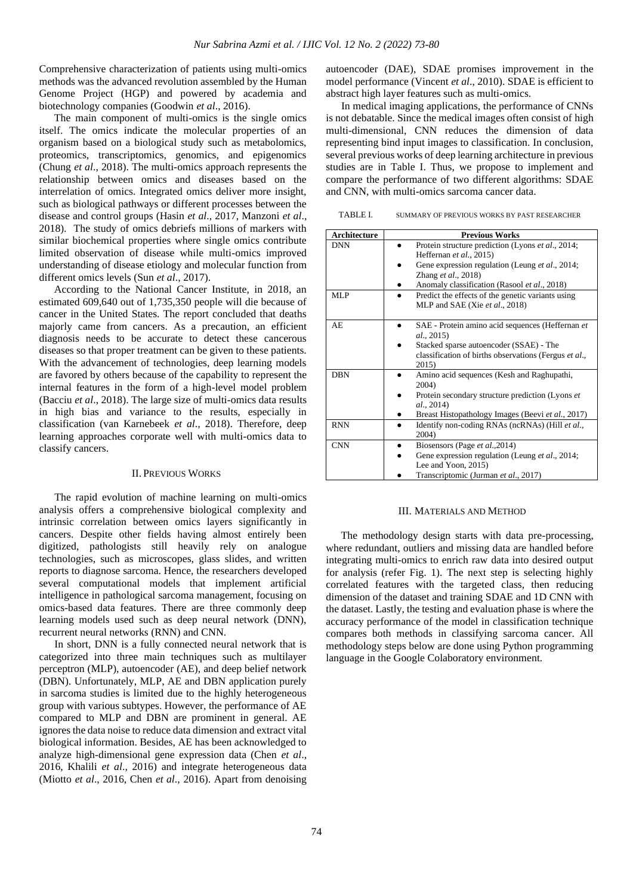Comprehensive characterization of patients using multi-omics methods was the advanced revolution assembled by the Human Genome Project (HGP) and powered by academia and biotechnology companies (Goodwin *et al*., 2016).

The main component of multi-omics is the single omics itself. The omics indicate the molecular properties of an organism based on a biological study such as metabolomics, proteomics, transcriptomics, genomics, and epigenomics (Chung *et al*., 2018). The multi-omics approach represents the relationship between omics and diseases based on the interrelation of omics. Integrated omics deliver more insight, such as biological pathways or different processes between the disease and control groups (Hasin *et al*., 2017, Manzoni *et al*., 2018). The study of omics debriefs millions of markers with similar biochemical properties where single omics contribute limited observation of disease while multi-omics improved understanding of disease etiology and molecular function from different omics levels (Sun *et al*., 2017).

According to the National Cancer Institute, in 2018, an estimated 609,640 out of 1,735,350 people will die because of cancer in the United States. The report concluded that deaths majorly came from cancers. As a precaution, an efficient diagnosis needs to be accurate to detect these cancerous diseases so that proper treatment can be given to these patients. With the advancement of technologies, deep learning models are favored by others because of the capability to represent the internal features in the form of a high-level model problem (Bacciu *et al*., 2018). The large size of multi-omics data results in high bias and variance to the results, especially in classification (van Karnebeek *et al*., 2018). Therefore, deep learning approaches corporate well with multi-omics data to classify cancers.

# II. PREVIOUS WORKS

The rapid evolution of machine learning on multi-omics analysis offers a comprehensive biological complexity and intrinsic correlation between omics layers significantly in cancers. Despite other fields having almost entirely been digitized, pathologists still heavily rely on analogue technologies, such as microscopes, glass slides, and written reports to diagnose sarcoma. Hence, the researchers developed several computational models that implement artificial intelligence in pathological sarcoma management, focusing on omics-based data features. There are three commonly deep learning models used such as deep neural network (DNN), recurrent neural networks (RNN) and CNN.

In short, DNN is a fully connected neural network that is categorized into three main techniques such as multilayer perceptron (MLP), autoencoder (AE), and deep belief network (DBN). Unfortunately, MLP, AE and DBN application purely in sarcoma studies is limited due to the highly heterogeneous group with various subtypes. However, the performance of AE compared to MLP and DBN are prominent in general. AE ignores the data noise to reduce data dimension and extract vital biological information. Besides, AE has been acknowledged to analyze high-dimensional gene expression data (Chen *et al*., 2016, Khalili *et al*., 2016) and integrate heterogeneous data (Miotto *et al*., 2016, Chen *et al*., 2016). Apart from denoising

autoencoder (DAE), SDAE promises improvement in the model performance (Vincent *et al*., 2010). SDAE is efficient to abstract high layer features such as multi-omics.

In medical imaging applications, the performance of CNNs is not debatable. Since the medical images often consist of high multi-dimensional, CNN reduces the dimension of data representing bind input images to classification. In conclusion, several previous works of deep learning architecture in previous studies are in Table I. Thus, we propose to implement and compare the performance of two different algorithms: SDAE and CNN, with multi-omics sarcoma cancer data.

TABLE I. SUMMARY OF PREVIOUS WORKS BY PAST RESEARCHER

| <b>Architecture</b>      | <b>Previous Works</b>                                                                                                                                                                                                                                       |
|--------------------------|-------------------------------------------------------------------------------------------------------------------------------------------------------------------------------------------------------------------------------------------------------------|
| <b>DNN</b><br><b>MLP</b> | Protein structure prediction (Lyons et al., 2014;<br>Heffernan et al., 2015)<br>Gene expression regulation (Leung et al., 2014;<br>Zhang et al., 2018)<br>Anomaly classification (Rasool et al., 2018)<br>Predict the effects of the genetic variants using |
|                          | MLP and SAE (Xie et al., 2018)                                                                                                                                                                                                                              |
| AE                       | SAE - Protein amino acid sequences (Heffernan et<br><i>al.</i> , 2015)<br>Stacked sparse autoencoder (SSAE) - The<br>classification of births observations (Fergus et al.,<br>2015)                                                                         |
| <b>DBN</b>               | Amino acid sequences (Kesh and Raghupathi,<br>2004)<br>Protein secondary structure prediction (Lyons et<br>al., 2014)<br>Breast Histopathology Images (Beevi et al., 2017)                                                                                  |
| <b>RNN</b>               | Identify non-coding RNAs (ncRNAs) (Hill et al.,<br>2004)                                                                                                                                                                                                    |
| <b>CNN</b>               | Biosensors (Page et al., 2014)<br>Gene expression regulation (Leung et al., 2014;<br>Lee and Yoon, 2015)<br>Transcriptomic (Jurman et al., 2017)                                                                                                            |

# III. MATERIALS AND METHOD

The methodology design starts with data pre-processing, where redundant, outliers and missing data are handled before integrating multi-omics to enrich raw data into desired output for analysis (refer Fig. 1). The next step is selecting highly correlated features with the targeted class, then reducing dimension of the dataset and training SDAE and 1D CNN with the dataset. Lastly, the testing and evaluation phase is where the accuracy performance of the model in classification technique compares both methods in classifying sarcoma cancer. All methodology steps below are done using Python programming language in the Google Colaboratory environment.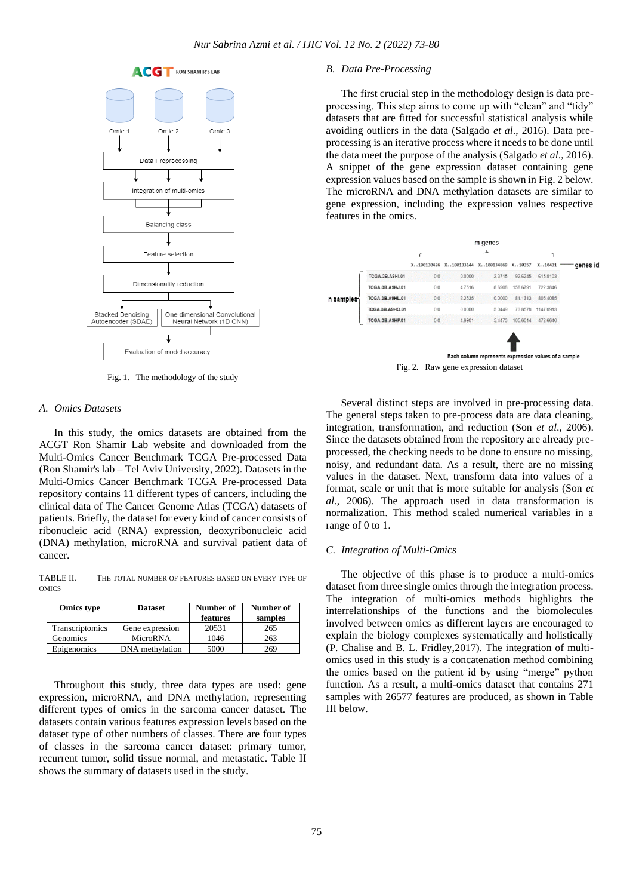

Fig. 1. The methodology of the study

#### *A. Omics Datasets*

In this study, the omics datasets are obtained from the ACGT Ron Shamir Lab website and downloaded from the Multi-Omics Cancer Benchmark TCGA Pre-processed Data (Ron Shamir's lab – Tel Aviv University, 2022). Datasets in the Multi-Omics Cancer Benchmark TCGA Pre-processed Data repository contains 11 different types of cancers, including the clinical data of The Cancer Genome Atlas (TCGA) datasets of patients. Briefly, the dataset for every kind of cancer consists of ribonucleic acid (RNA) expression, deoxyribonucleic acid (DNA) methylation, microRNA and survival patient data of cancer.

TABLE II. THE TOTAL NUMBER OF FEATURES BASED ON EVERY TYPE OF OMICS

| <b>Omics type</b> | <b>Dataset</b>  | Number of<br>features | Number of<br>samples |
|-------------------|-----------------|-----------------------|----------------------|
| Transcriptomics   | Gene expression | 20531                 | 265                  |
| Genomics          | MicroRNA        | 1046                  | 263                  |
| Epigenomics       | DNA methylation | 5000                  | 269                  |

Throughout this study, three data types are used: gene expression, microRNA, and DNA methylation, representing different types of omics in the sarcoma cancer dataset. The datasets contain various features expression levels based on the dataset type of other numbers of classes. There are four types of classes in the sarcoma cancer dataset: primary tumor, recurrent tumor, solid tissue normal, and metastatic. Table II shows the summary of datasets used in the study.

# *B. Data Pre-Processing*

The first crucial step in the methodology design is data preprocessing. This step aims to come up with "clean" and "tidy" datasets that are fitted for successful statistical analysis while avoiding outliers in the data (Salgado *et al*., 2016). Data preprocessing is an iterative process where it needs to be done until the data meet the purpose of the analysis (Salgado *et al*., 2016). A snippet of the gene expression dataset containing gene expression values based on the sample is shown in Fig. 2 below. The microRNA and DNA methylation datasets are similar to gene expression, including the expression values respective features in the omics.



Several distinct steps are involved in pre-processing data. The general steps taken to pre-process data are data cleaning, integration, transformation, and reduction (Son *et al*., 2006). Since the datasets obtained from the repository are already preprocessed, the checking needs to be done to ensure no missing, noisy, and redundant data. As a result, there are no missing values in the dataset. Next, transform data into values of a format, scale or unit that is more suitable for analysis (Son *et al*., 2006). The approach used in data transformation is normalization. This method scaled numerical variables in a range of 0 to 1.

# *C. Integration of Multi-Omics*

The objective of this phase is to produce a multi-omics dataset from three single omics through the integration process. The integration of multi-omics methods highlights the interrelationships of the functions and the biomolecules involved between omics as different layers are encouraged to explain the biology complexes systematically and holistically (P. Chalise and B. L. Fridley,2017). The integration of multiomics used in this study is a concatenation method combining the omics based on the patient id by using "merge" python function. As a result, a multi-omics dataset that contains 271 samples with 26577 features are produced, as shown in Table III below.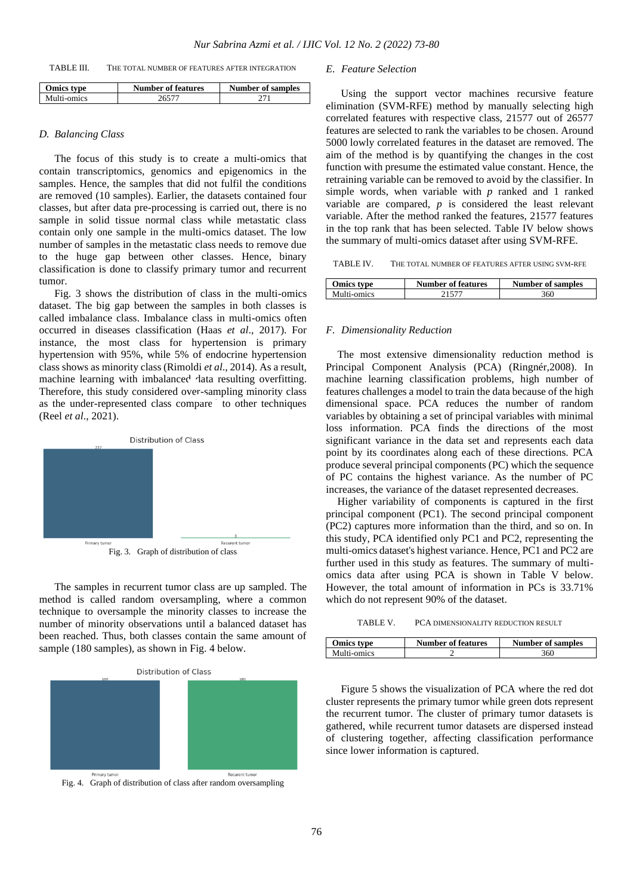| TABLE III.<br>THE TOTAL NUMBER OF FEATURES AFTER INTEGRATION |  |
|--------------------------------------------------------------|--|
|--------------------------------------------------------------|--|

| <b>Omics type</b> | <b>Number of features</b> | <b>Number of samples</b> |
|-------------------|---------------------------|--------------------------|
| Multi-omics       |                           |                          |

# *D. Balancing Class*

The focus of this study is to create a multi-omics that contain transcriptomics, genomics and epigenomics in the samples. Hence, the samples that did not fulfil the conditions are removed (10 samples). Earlier, the datasets contained four classes, but after data pre-processing is carried out, there is no sample in solid tissue normal class while metastatic class contain only one sample in the multi-omics dataset. The low number of samples in the metastatic class needs to remove due to the huge gap between other classes. Hence, binary classification is done to classify primary tumor and recurrent tumor.

Fig. 3 shows the distribution of class in the multi-omics dataset. The big gap between the samples in both classes is called imbalance class. Imbalance class in multi-omics often occurred in diseases classification (Haas *et al*., 2017). For instance, the most class for hypertension is primary hypertension with 95%, while 5% of endocrine hypertension class shows as minority class (Rimoldi *et al*., 2014). As a result, machine learning with imbalanced data resulting overfitting. Therefore, this study considered over-sampling minority class as the under-represented class compare to other techniques (Reel *et al*., 2021).



The samples in recurrent tumor class are up sampled. The method is called random oversampling, where a common technique to oversample the minority classes to increase the number of minority observations until a balanced dataset has been reached. Thus, both classes contain the same amount of sample (180 samples), as shown in Fig. 4 below.





Fig. 4. Graph of distribution of class after random oversampling

# *E. Feature Selection*

Using the support vector machines recursive feature elimination (SVM-RFE) method by manually selecting high correlated features with respective class, 21577 out of 26577 features are selected to rank the variables to be chosen. Around 5000 lowly correlated features in the dataset are removed. The aim of the method is by quantifying the changes in the cost function with presume the estimated value constant. Hence, the retraining variable can be removed to avoid by the classifier. In simple words, when variable with *p* ranked and 1 ranked variable are compared, *p* is considered the least relevant variable. After the method ranked the features, 21577 features in the top rank that has been selected. Table IV below shows the summary of multi-omics dataset after using SVM-RFE.

TABLE IV. THE TOTAL NUMBER OF FEATURES AFTER USING SVM-RFE

| Omics type  | <b>Number of features</b> | <b>Number of samples</b> |
|-------------|---------------------------|--------------------------|
| Multi-omics |                           | 360                      |

# *F. Dimensionality Reduction*

The most extensive dimensionality reduction method is Principal Component Analysis (PCA) (Ringnér,2008). In machine learning classification problems, high number of features challenges a model to train the data because of the high dimensional space. PCA reduces the number of random variables by obtaining a set of principal variables with minimal loss information. PCA finds the directions of the most significant variance in the data set and represents each data point by its coordinates along each of these directions. PCA produce several principal components (PC) which the sequence of PC contains the highest variance. As the number of PC increases, the variance of the dataset represented decreases.

Higher variability of components is captured in the first principal component (PC1). The second principal component (PC2) captures more information than the third, and so on. In this study, PCA identified only PC1 and PC2, representing the multi-omics dataset's highest variance. Hence, PC1 and PC2 are further used in this study as features. The summary of multiomics data after using PCA is shown in Table V below. However, the total amount of information in PCs is 33.71% which do not represent 90% of the dataset.

TABLE V. PCA DIMENSIONALITY REDUCTION RESULT

| <b>Omics type</b> | Number of features | <b>Number of samples</b> |
|-------------------|--------------------|--------------------------|
| Multi-omics       |                    | 360                      |

Figure 5 shows the visualization of PCA where the red dot cluster represents the primary tumor while green dots represent the recurrent tumor. The cluster of primary tumor datasets is gathered, while recurrent tumor datasets are dispersed instead of clustering together, affecting classification performance since lower information is captured.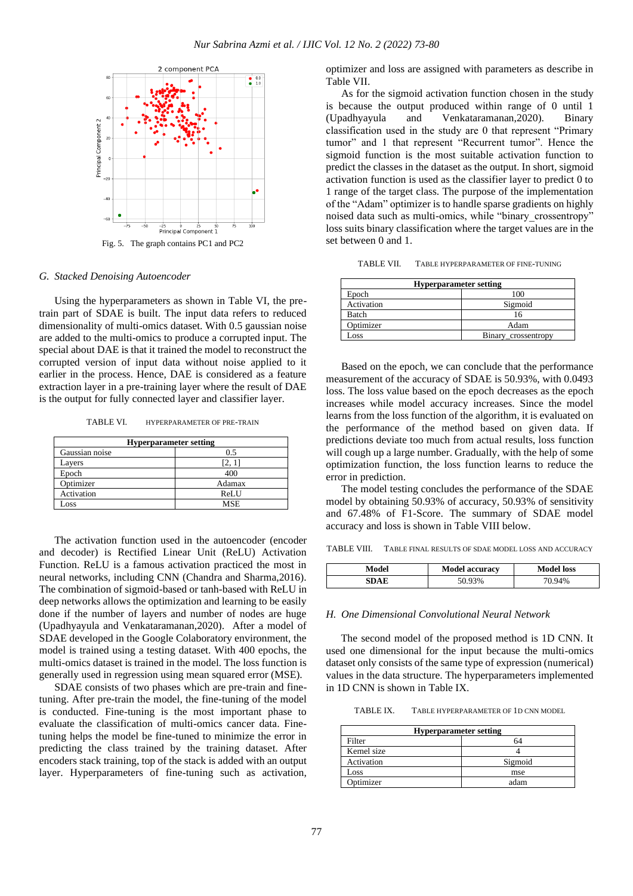

# *G. Stacked Denoising Autoencoder*

Using the hyperparameters as shown in Table VI, the pretrain part of SDAE is built. The input data refers to reduced dimensionality of multi-omics dataset. With 0.5 gaussian noise are added to the multi-omics to produce a corrupted input. The special about DAE is that it trained the model to reconstruct the corrupted version of input data without noise applied to it earlier in the process. Hence, DAE is considered as a feature extraction layer in a pre-training layer where the result of DAE is the output for fully connected layer and classifier layer.

TABLE VI. HYPERPARAMETER OF PRE-TRAIN

| <b>Hyperparameter setting</b> |            |  |
|-------------------------------|------------|--|
| Gaussian noise                | 0.5        |  |
| Layers                        | [2, 1      |  |
| Epoch                         | 400        |  |
| Optimizer                     | Adamax     |  |
| Activation                    | ReLU       |  |
| $\cos$                        | <b>MSE</b> |  |

The activation function used in the autoencoder (encoder and decoder) is Rectified Linear Unit (ReLU) Activation Function. ReLU is a famous activation practiced the most in neural networks, including CNN (Chandra and Sharma,2016). The combination of sigmoid-based or tanh-based with ReLU in deep networks allows the optimization and learning to be easily done if the number of layers and number of nodes are huge (Upadhyayula and Venkataramanan,2020). After a model of SDAE developed in the Google Colaboratory environment, the model is trained using a testing dataset. With 400 epochs, the multi-omics dataset is trained in the model. The loss function is generally used in regression using mean squared error (MSE).

SDAE consists of two phases which are pre-train and finetuning. After pre-train the model, the fine-tuning of the model is conducted. Fine-tuning is the most important phase to evaluate the classification of multi-omics cancer data. Finetuning helps the model be fine-tuned to minimize the error in predicting the class trained by the training dataset. After encoders stack training, top of the stack is added with an output layer. Hyperparameters of fine-tuning such as activation, optimizer and loss are assigned with parameters as describe in Table VII.

As for the sigmoid activation function chosen in the study is because the output produced within range of 0 until 1 (Upadhyayula and Venkataramanan,2020). Binary classification used in the study are 0 that represent "Primary tumor" and 1 that represent "Recurrent tumor". Hence the sigmoid function is the most suitable activation function to predict the classes in the dataset as the output. In short, sigmoid activation function is used as the classifier layer to predict 0 to 1 range of the target class. The purpose of the implementation of the "Adam" optimizer is to handle sparse gradients on highly noised data such as multi-omics, while "binary\_crossentropy" loss suits binary classification where the target values are in the set between 0 and 1.

TABLE VII. TABLE HYPERPARAMETER OF FINE-TUNING

| <b>Hyperparameter setting</b> |                     |  |
|-------------------------------|---------------------|--|
| Epoch                         | 100                 |  |
| Activation                    | Sigmoid             |  |
| Batch<br>16                   |                     |  |
| Optimizer                     | Adam                |  |
| Loss                          | Binary_crossentropy |  |

Based on the epoch, we can conclude that the performance measurement of the accuracy of SDAE is 50.93%, with 0.0493 loss. The loss value based on the epoch decreases as the epoch increases while model accuracy increases. Since the model learns from the loss function of the algorithm, it is evaluated on the performance of the method based on given data. If predictions deviate too much from actual results, loss function will cough up a large number. Gradually, with the help of some optimization function, the loss function learns to reduce the error in prediction.

The model testing concludes the performance of the SDAE model by obtaining 50.93% of accuracy, 50.93% of sensitivity and 67.48% of F1-Score. The summary of SDAE model accuracy and loss is shown in Table VIII below.

TABLE VIII. TABLE FINAL RESULTS OF SDAE MODEL LOSS AND ACCURACY

| Model | <b>Model accuracy</b> | <b>Model loss</b> |
|-------|-----------------------|-------------------|
| SDAE  | 50.93%                | 70.94%            |

# *H. One Dimensional Convolutional Neural Network*

The second model of the proposed method is 1D CNN. It used one dimensional for the input because the multi-omics dataset only consists of the same type of expression (numerical) values in the data structure. The hyperparameters implemented in 1D CNN is shown in Table IX.

TABLE IX. TABLE HYPERPARAMETER OF 1D CNN MODEL

| <b>Hyperparameter setting</b> |         |  |
|-------------------------------|---------|--|
| Filter                        | 64      |  |
| Kernel size                   |         |  |
| Activation                    | Sigmoid |  |
| Loss                          | mse     |  |
| Optimizer                     | adam    |  |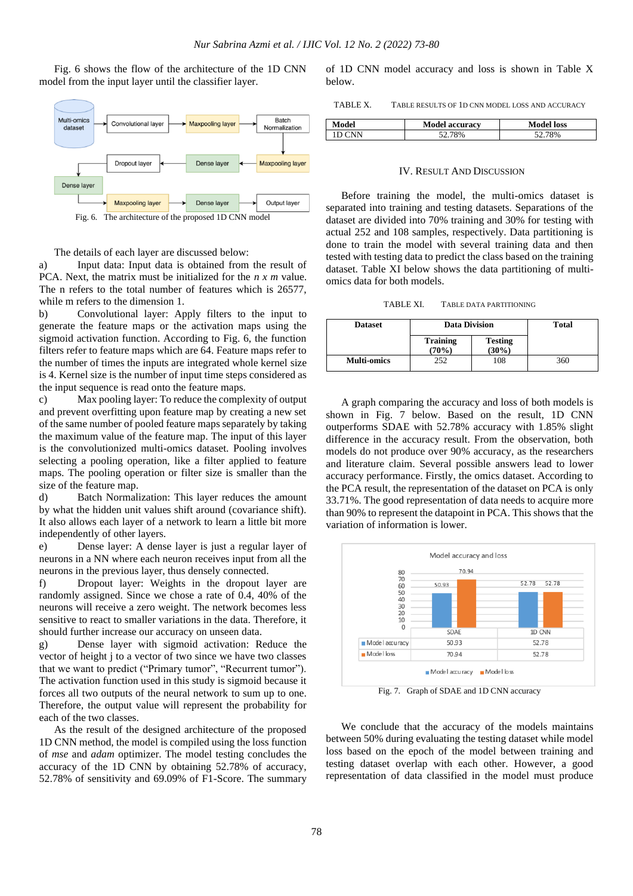Fig. 6 shows the flow of the architecture of the 1D CNN model from the input layer until the classifier layer.



The details of each layer are discussed below:

a) Input data: Input data is obtained from the result of PCA. Next, the matrix must be initialized for the *n x m* value. The n refers to the total number of features which is 26577, while m refers to the dimension 1.

b) Convolutional layer: Apply filters to the input to generate the feature maps or the activation maps using the sigmoid activation function. According to Fig. 6, the function filters refer to feature maps which are 64. Feature maps refer to the number of times the inputs are integrated whole kernel size is 4. Kernel size is the number of input time steps considered as the input sequence is read onto the feature maps.

c) Max pooling layer: To reduce the complexity of output and prevent overfitting upon feature map by creating a new set of the same number of pooled feature maps separately by taking the maximum value of the feature map. The input of this layer is the convolutionized multi-omics dataset. Pooling involves selecting a pooling operation, like a filter applied to feature maps. The pooling operation or filter size is smaller than the size of the feature map.

d) Batch Normalization: This layer reduces the amount by what the hidden unit values shift around (covariance shift). It also allows each layer of a network to learn a little bit more independently of other layers.

e) Dense layer: A dense layer is just a regular layer of neurons in a NN where each neuron receives input from all the neurons in the previous layer, thus densely connected.

f) Dropout layer: Weights in the dropout layer are randomly assigned. Since we chose a rate of 0.4, 40% of the neurons will receive a zero weight. The network becomes less sensitive to react to smaller variations in the data. Therefore, it should further increase our accuracy on unseen data.

g) Dense layer with sigmoid activation: Reduce the vector of height j to a vector of two since we have two classes that we want to predict ("Primary tumor", "Recurrent tumor"). The activation function used in this study is sigmoid because it forces all two outputs of the neural network to sum up to one. Therefore, the output value will represent the probability for each of the two classes.

As the result of the designed architecture of the proposed 1D CNN method, the model is compiled using the loss function of *mse* and *adam* optimizer. The model testing concludes the accuracy of the 1D CNN by obtaining 52.78% of accuracy, 52.78% of sensitivity and 69.09% of F1-Score. The summary of 1D CNN model accuracy and loss is shown in Table X below.

TABLE X. TABLE RESULTS OF 1D CNN MODEL LOSS AND ACCURACY

| <b>Model</b> | <b>Model accuracy</b> | <b>Model loss</b> |
|--------------|-----------------------|-------------------|
| ΙN           | 78%                   | 78%               |
|              |                       |                   |

# IV. RESULT AND DISCUSSION

Before training the model, the multi-omics dataset is separated into training and testing datasets. Separations of the dataset are divided into 70% training and 30% for testing with actual 252 and 108 samples, respectively. Data partitioning is done to train the model with several training data and then tested with testing data to predict the class based on the training dataset. Table XI below shows the data partitioning of multiomics data for both models.

TABLE XI. TABLE DATA PARTITIONING

| <b>Dataset</b>     | <b>Data Division</b>     |                            | <b>Total</b> |
|--------------------|--------------------------|----------------------------|--------------|
|                    | <b>Training</b><br>(70%) | <b>Testing</b><br>$(30\%)$ |              |
| <b>Multi-omics</b> | 252                      | 108                        | 360          |

A graph comparing the accuracy and loss of both models is shown in Fig. 7 below. Based on the result, 1D CNN outperforms SDAE with 52.78% accuracy with 1.85% slight difference in the accuracy result. From the observation, both models do not produce over 90% accuracy, as the researchers and literature claim. Several possible answers lead to lower accuracy performance. Firstly, the omics dataset. According to the PCA result, the representation of the dataset on PCA is only 33.71%. The good representation of data needs to acquire more than 90% to represent the datapoint in PCA. This shows that the variation of information is lower.



Fig. 7. Graph of SDAE and 1D CNN accuracy

We conclude that the accuracy of the models maintains between 50% during evaluating the testing dataset while model loss based on the epoch of the model between training and testing dataset overlap with each other. However, a good representation of data classified in the model must produce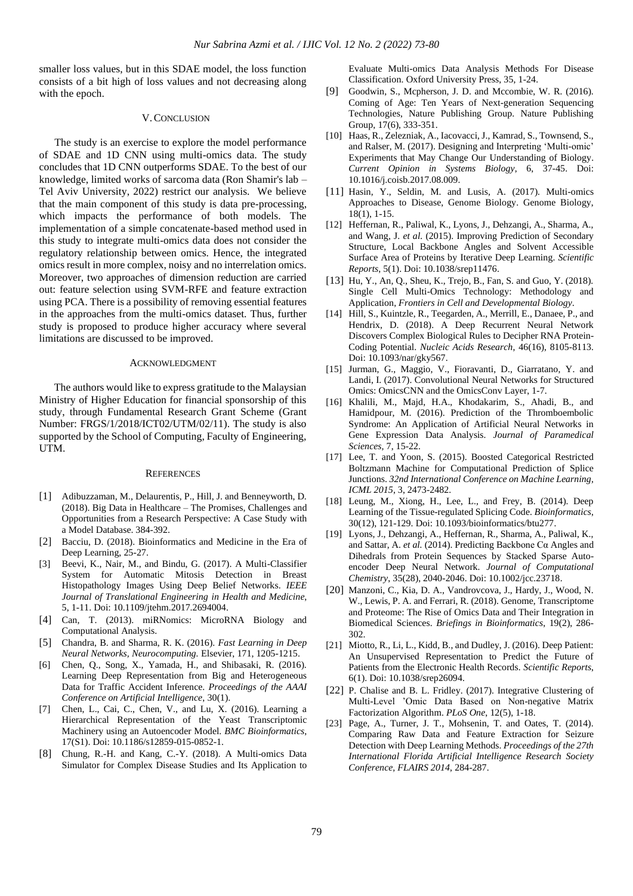smaller loss values, but in this SDAE model, the loss function consists of a bit high of loss values and not decreasing along with the epoch.

#### V.CONCLUSION

The study is an exercise to explore the model performance of SDAE and 1D CNN using multi-omics data. The study concludes that 1D CNN outperforms SDAE. To the best of our knowledge, limited works of sarcoma data (Ron Shamir's lab – Tel Aviv University, 2022) restrict our analysis. We believe that the main component of this study is data pre-processing, which impacts the performance of both models. The implementation of a simple concatenate-based method used in this study to integrate multi-omics data does not consider the regulatory relationship between omics. Hence, the integrated omics result in more complex, noisy and no interrelation omics. Moreover, two approaches of dimension reduction are carried out: feature selection using SVM-RFE and feature extraction using PCA. There is a possibility of removing essential features in the approaches from the multi-omics dataset. Thus, further study is proposed to produce higher accuracy where several limitations are discussed to be improved.

#### ACKNOWLEDGMENT

The authors would like to express gratitude to the Malaysian Ministry of Higher Education for financial sponsorship of this study, through Fundamental Research Grant Scheme (Grant Number: FRGS/1/2018/ICT02/UTM/02/11). The study is also supported by the School of Computing, Faculty of Engineering, UTM.

#### **REFERENCES**

- [1] Adibuzzaman, M., Delaurentis, P., Hill, J. and Benneyworth, D. (2018). Big Data in Healthcare – The Promises, Challenges and Opportunities from a Research Perspective: A Case Study with a Model Database. 384-392.
- [2] Bacciu, D. (2018). Bioinformatics and Medicine in the Era of Deep Learning, 25-27.
- [3] Beevi, K., Nair, M., and Bindu, G. (2017). A Multi-Classifier System for Automatic Mitosis Detection in Breast Histopathology Images Using Deep Belief Networks. *IEEE Journal of Translational Engineering in Health and Medicine*, 5, 1-11. Doi: 10.1109/jtehm.2017.2694004.
- [4] Can, T. (2013). miRNomics: MicroRNA Biology and Computational Analysis.
- [5] Chandra, B. and Sharma, R. K. (2016). *Fast Learning in Deep Neural Networks, Neurocomputing.* Elsevier, 171, 1205-1215.
- [6] Chen, Q., Song, X., Yamada, H., and Shibasaki, R. (2016). Learning Deep Representation from Big and Heterogeneous Data for Traffic Accident Inference. *Proceedings of the AAAI Conference on Artificial Intelligence*, 30(1).
- [7] Chen, L., Cai, C., Chen, V., and Lu, X. (2016). Learning a Hierarchical Representation of the Yeast Transcriptomic Machinery using an Autoencoder Model. *BMC Bioinformatics*, 17(S1). Doi: 10.1186/s12859-015-0852-1.
- [8] Chung, R.-H. and Kang, C.-Y. (2018). A Multi-omics Data Simulator for Complex Disease Studies and Its Application to

Evaluate Multi-omics Data Analysis Methods For Disease Classification. Oxford University Press, 35, 1-24.

- [9] Goodwin, S., Mcpherson, J. D. and Mccombie, W. R. (2016). Coming of Age: Ten Years of Next-generation Sequencing Technologies, Nature Publishing Group. Nature Publishing Group, 17(6), 333-351.
- [10] Haas, R., Zelezniak, A., Iacovacci, J., Kamrad, S., Townsend, S., and Ralser, M. (2017). Designing and Interpreting 'Multi-omic' Experiments that May Change Our Understanding of Biology. *Current Opinion in Systems Biology*, 6, 37-45. Doi: 10.1016/j.coisb.2017.08.009.
- [11] Hasin, Y., Seldin, M. and Lusis, A. (2017). Multi-omics Approaches to Disease, Genome Biology. Genome Biology, 18(1), 1-15.
- [12] Heffernan, R., Paliwal, K., Lyons, J., Dehzangi, A., Sharma, A., and Wang, J. *et al.* (2015). Improving Prediction of Secondary Structure, Local Backbone Angles and Solvent Accessible Surface Area of Proteins by Iterative Deep Learning. *Scientific Reports*, 5(1). Doi: 10.1038/srep11476.
- [13] Hu, Y., An, Q., Sheu, K., Trejo, B., Fan, S. and Guo, Y. (2018). Single Cell Multi-Omics Technology: Methodology and Application, *Frontiers in Cell and Developmental Biology.*
- [14] Hill, S., Kuintzle, R., Teegarden, A., Merrill, E., Danaee, P., and Hendrix, D. (2018). A Deep Recurrent Neural Network Discovers Complex Biological Rules to Decipher RNA Protein-Coding Potential. *Nucleic Acids Research*, 46(16), 8105-8113. Doi: 10.1093/nar/gky567.
- [15] Jurman, G., Maggio, V., Fioravanti, D., Giarratano, Y. and Landi, I. (2017). Convolutional Neural Networks for Structured Omics: OmicsCNN and the OmicsConv Layer, 1-7.
- [16] Khalili, M., Majd, H.A., Khodakarim, S., Ahadi, B., and Hamidpour, M. (2016). Prediction of the Thromboembolic Syndrome: An Application of Artificial Neural Networks in Gene Expression Data Analysis. *Journal of Paramedical Sciences,* 7, 15-22.
- [17] Lee, T. and Yoon, S. (2015). Boosted Categorical Restricted Boltzmann Machine for Computational Prediction of Splice Junctions. *32nd International Conference on Machine Learning, ICML 2015*, 3, 2473-2482.
- [18] Leung, M., Xiong, H., Lee, L., and Frey, B. (2014). Deep Learning of the Tissue-regulated Splicing Code. *Bioinformatics*, 30(12), 121-129. Doi: 10.1093/bioinformatics/btu277.
- [19] Lyons, J., Dehzangi, A., Heffernan, R., Sharma, A., Paliwal, K., and Sattar, A. *et al.* (2014). Predicting Backbone Cα Angles and Dihedrals from Protein Sequences by Stacked Sparse Autoencoder Deep Neural Network. *Journal of Computational Chemistry*, 35(28), 2040-2046. Doi: 10.1002/jcc.23718.
- [20] Manzoni, C., Kia, D. A., Vandrovcova, J., Hardy, J., Wood, N. W., Lewis, P. A. and Ferrari, R. (2018). Genome, Transcriptome and Proteome: The Rise of Omics Data and Their Integration in Biomedical Sciences. *Briefings in Bioinformatics*, 19(2), 286- 302.
- [21] Miotto, R., Li, L., Kidd, B., and Dudley, J. (2016). Deep Patient: An Unsupervised Representation to Predict the Future of Patients from the Electronic Health Records. *Scientific Reports*, 6(1). Doi: 10.1038/srep26094.
- [22] P. Chalise and B. L. Fridley. (2017). Integrative Clustering of Multi-Level 'Omic Data Based on Non-negative Matrix Factorization Algorithm. *PLoS One*, 12(5), 1-18.
- [23] Page, A., Turner, J. T., Mohsenin, T. and Oates, T. (2014). Comparing Raw Data and Feature Extraction for Seizure Detection with Deep Learning Methods. *Proceedings of the 27th International Florida Artificial Intelligence Research Society Conference, FLAIRS 2014,* 284-287.